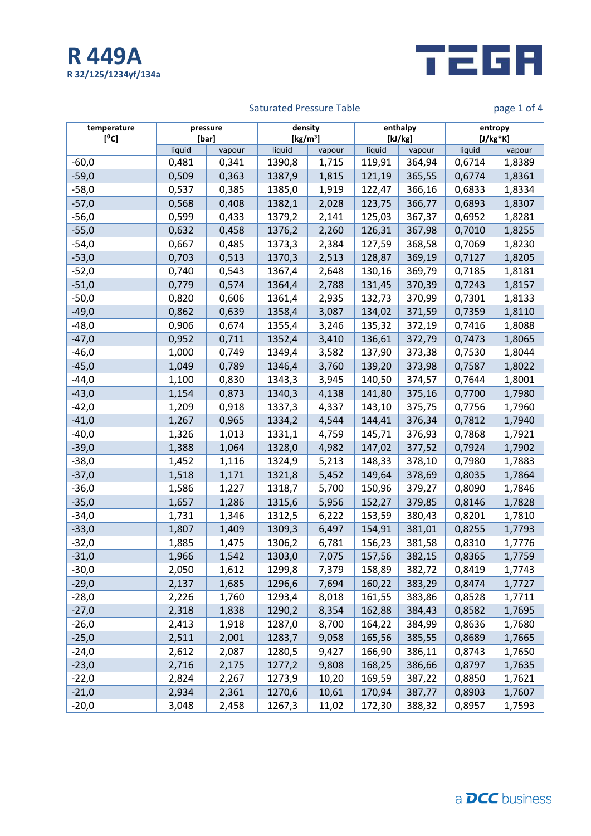



## Saturated Pressure Table **page 1 of 4**

| temperature<br>[°C] | pressure<br>[bar] |        | density<br>[kg/m <sup>3</sup> ] |        |        | enthalpy<br>[kJ/kg] |        | entropy<br>$[J/kg*K]$ |  |
|---------------------|-------------------|--------|---------------------------------|--------|--------|---------------------|--------|-----------------------|--|
|                     | liquid            | vapour | liquid                          | vapour | liquid | vapour              | liquid | vapour                |  |
| $-60,0$             | 0,481             | 0,341  | 1390,8                          | 1,715  | 119,91 | 364,94              | 0,6714 | 1,8389                |  |
| $-59,0$             | 0,509             | 0,363  | 1387,9                          | 1,815  | 121,19 | 365,55              | 0,6774 | 1,8361                |  |
| $-58,0$             | 0,537             | 0,385  | 1385,0                          | 1,919  | 122,47 | 366,16              | 0,6833 | 1,8334                |  |
| $-57,0$             | 0,568             | 0,408  | 1382,1                          | 2,028  | 123,75 | 366,77              | 0,6893 | 1,8307                |  |
| $-56,0$             | 0,599             | 0,433  | 1379,2                          | 2,141  | 125,03 | 367,37              | 0,6952 | 1,8281                |  |
| $-55,0$             | 0,632             | 0,458  | 1376,2                          | 2,260  | 126,31 | 367,98              | 0,7010 | 1,8255                |  |
| $-54,0$             | 0,667             | 0,485  | 1373,3                          | 2,384  | 127,59 | 368,58              | 0,7069 | 1,8230                |  |
| $-53,0$             | 0,703             | 0,513  | 1370,3                          | 2,513  | 128,87 | 369,19              | 0,7127 | 1,8205                |  |
| $-52,0$             | 0,740             | 0,543  | 1367,4                          | 2,648  | 130,16 | 369,79              | 0,7185 | 1,8181                |  |
| $-51,0$             | 0,779             | 0,574  | 1364,4                          | 2,788  | 131,45 | 370,39              | 0,7243 | 1,8157                |  |
| $-50,0$             | 0,820             | 0,606  | 1361,4                          | 2,935  | 132,73 | 370,99              | 0,7301 | 1,8133                |  |
| $-49,0$             | 0,862             | 0,639  | 1358,4                          | 3,087  | 134,02 | 371,59              | 0,7359 | 1,8110                |  |
| $-48,0$             | 0,906             | 0,674  | 1355,4                          | 3,246  | 135,32 | 372,19              | 0,7416 | 1,8088                |  |
| $-47,0$             | 0,952             | 0,711  | 1352,4                          | 3,410  | 136,61 | 372,79              | 0,7473 | 1,8065                |  |
| $-46,0$             | 1,000             | 0,749  | 1349,4                          | 3,582  | 137,90 | 373,38              | 0,7530 | 1,8044                |  |
| $-45,0$             | 1,049             | 0,789  | 1346,4                          | 3,760  | 139,20 | 373,98              | 0,7587 | 1,8022                |  |
| $-44,0$             | 1,100             | 0,830  | 1343,3                          | 3,945  | 140,50 | 374,57              | 0,7644 | 1,8001                |  |
| $-43,0$             | 1,154             | 0,873  | 1340,3                          | 4,138  | 141,80 | 375,16              | 0,7700 | 1,7980                |  |
| $-42,0$             | 1,209             | 0,918  | 1337,3                          | 4,337  | 143,10 | 375,75              | 0,7756 | 1,7960                |  |
| $-41,0$             | 1,267             | 0,965  | 1334,2                          | 4,544  | 144,41 | 376,34              | 0,7812 | 1,7940                |  |
| $-40,0$             | 1,326             | 1,013  | 1331,1                          | 4,759  | 145,71 | 376,93              | 0,7868 | 1,7921                |  |
| $-39,0$             | 1,388             | 1,064  | 1328,0                          | 4,982  | 147,02 | 377,52              | 0,7924 | 1,7902                |  |
| $-38,0$             | 1,452             | 1,116  | 1324,9                          | 5,213  | 148,33 | 378,10              | 0,7980 | 1,7883                |  |
| $-37,0$             | 1,518             | 1,171  | 1321,8                          | 5,452  | 149,64 | 378,69              | 0,8035 | 1,7864                |  |
| $-36,0$             | 1,586             | 1,227  | 1318,7                          | 5,700  | 150,96 | 379,27              | 0,8090 | 1,7846                |  |
| $-35,0$             | 1,657             | 1,286  | 1315,6                          | 5,956  | 152,27 | 379,85              | 0,8146 | 1,7828                |  |
| $-34,0$             | 1,731             | 1,346  | 1312,5                          | 6,222  | 153,59 | 380,43              | 0,8201 | 1,7810                |  |
| $-33,0$             | 1,807             | 1,409  | 1309,3                          | 6,497  | 154,91 | 381,01              | 0,8255 | 1,7793                |  |
| $-32,0$             | 1,885             | 1,475  | 1306,2                          | 6,781  | 156,23 | 381,58              | 0,8310 | 1,7776                |  |
| $-31,0$             | 1,966             | 1,542  | 1303,0                          | 7,075  | 157,56 | 382,15              | 0,8365 | 1,7759                |  |
| $-30,0$             | 2,050             | 1,612  | 1299,8                          | 7,379  | 158,89 | 382,72              | 0,8419 | 1,7743                |  |
| $-29,0$             | 2,137             | 1,685  | 1296,6                          | 7,694  | 160,22 | 383,29              | 0,8474 | 1,7727                |  |
| $-28,0$             | 2,226             | 1,760  | 1293,4                          | 8,018  | 161,55 | 383,86              | 0,8528 | 1,7711                |  |
| $-27,0$             | 2,318             | 1,838  | 1290,2                          | 8,354  | 162,88 | 384,43              | 0,8582 | 1,7695                |  |
| $-26,0$             | 2,413             | 1,918  | 1287,0                          | 8,700  | 164,22 | 384,99              | 0,8636 | 1,7680                |  |
| $-25,0$             | 2,511             | 2,001  | 1283,7                          | 9,058  | 165,56 | 385,55              | 0,8689 | 1,7665                |  |
| $-24,0$             | 2,612             | 2,087  | 1280,5                          | 9,427  | 166,90 | 386,11              | 0,8743 | 1,7650                |  |
| $-23,0$             | 2,716             | 2,175  | 1277,2                          | 9,808  | 168,25 | 386,66              | 0,8797 | 1,7635                |  |
| $-22,0$             | 2,824             | 2,267  | 1273,9                          | 10,20  | 169,59 | 387,22              | 0,8850 | 1,7621                |  |
| $-21,0$             | 2,934             | 2,361  | 1270,6                          | 10,61  | 170,94 | 387,77              | 0,8903 | 1,7607                |  |
| $-20,0$             | 3,048             | 2,458  | 1267,3                          | 11,02  | 172,30 | 388,32              | 0,8957 | 1,7593                |  |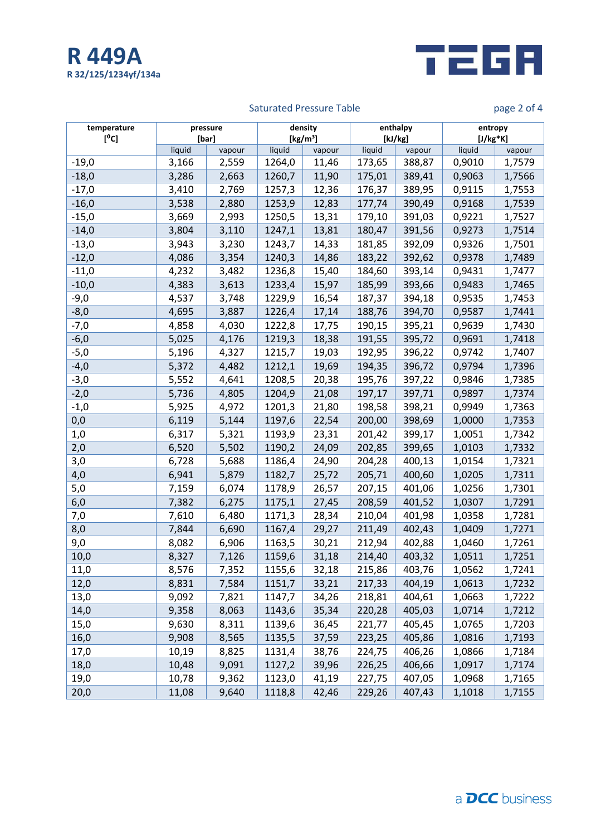



## Saturated Pressure Table **page 2 of 4**

| temperature<br>[°C] |        | pressure<br>[bar] |        | density<br>[kg/m <sup>3</sup> ] | enthalpy<br>[kJ/kg] |        | entropy<br>$[J/kg*K]$ |        |
|---------------------|--------|-------------------|--------|---------------------------------|---------------------|--------|-----------------------|--------|
|                     | liquid | vapour            | liquid | vapour                          | liquid              | vapour | liquid                | vapour |
| $-19,0$             | 3,166  | 2,559             | 1264,0 | 11,46                           | 173,65              | 388,87 | 0,9010                | 1,7579 |
| $-18,0$             | 3,286  | 2,663             | 1260,7 | 11,90                           | 175,01              | 389,41 | 0,9063                | 1,7566 |
| $-17,0$             | 3,410  | 2,769             | 1257,3 | 12,36                           | 176,37              | 389,95 | 0,9115                | 1,7553 |
| $-16,0$             | 3,538  | 2,880             | 1253,9 | 12,83                           | 177,74              | 390,49 | 0,9168                | 1,7539 |
| $-15,0$             | 3,669  | 2,993             | 1250,5 | 13,31                           | 179,10              | 391,03 | 0,9221                | 1,7527 |
| $-14,0$             | 3,804  | 3,110             | 1247,1 | 13,81                           | 180,47              | 391,56 | 0,9273                | 1,7514 |
| $-13,0$             | 3,943  | 3,230             | 1243,7 | 14,33                           | 181,85              | 392,09 | 0,9326                | 1,7501 |
| $-12,0$             | 4,086  | 3,354             | 1240,3 | 14,86                           | 183,22              | 392,62 | 0,9378                | 1,7489 |
| $-11,0$             | 4,232  | 3,482             | 1236,8 | 15,40                           | 184,60              | 393,14 | 0,9431                | 1,7477 |
| $-10,0$             | 4,383  | 3,613             | 1233,4 | 15,97                           | 185,99              | 393,66 | 0,9483                | 1,7465 |
| $-9,0$              | 4,537  | 3,748             | 1229,9 | 16,54                           | 187,37              | 394,18 | 0,9535                | 1,7453 |
| $-8,0$              | 4,695  | 3,887             | 1226,4 | 17,14                           | 188,76              | 394,70 | 0,9587                | 1,7441 |
| $-7,0$              | 4,858  | 4,030             | 1222,8 | 17,75                           | 190,15              | 395,21 | 0,9639                | 1,7430 |
| $-6,0$              | 5,025  | 4,176             | 1219,3 | 18,38                           | 191,55              | 395,72 | 0,9691                | 1,7418 |
| $-5,0$              | 5,196  | 4,327             | 1215,7 | 19,03                           | 192,95              | 396,22 | 0,9742                | 1,7407 |
| $-4,0$              | 5,372  | 4,482             | 1212,1 | 19,69                           | 194,35              | 396,72 | 0,9794                | 1,7396 |
| $-3,0$              | 5,552  | 4,641             | 1208,5 | 20,38                           | 195,76              | 397,22 | 0,9846                | 1,7385 |
| $-2,0$              | 5,736  | 4,805             | 1204,9 | 21,08                           | 197,17              | 397,71 | 0,9897                | 1,7374 |
| $-1,0$              | 5,925  | 4,972             | 1201,3 | 21,80                           | 198,58              | 398,21 | 0,9949                | 1,7363 |
| 0,0                 | 6,119  | 5,144             | 1197,6 | 22,54                           | 200,00              | 398,69 | 1,0000                | 1,7353 |
| 1,0                 | 6,317  | 5,321             | 1193,9 | 23,31                           | 201,42              | 399,17 | 1,0051                | 1,7342 |
| 2,0                 | 6,520  | 5,502             | 1190,2 | 24,09                           | 202,85              | 399,65 | 1,0103                | 1,7332 |
| 3,0                 | 6,728  | 5,688             | 1186,4 | 24,90                           | 204,28              | 400,13 | 1,0154                | 1,7321 |
| 4,0                 | 6,941  | 5,879             | 1182,7 | 25,72                           | 205,71              | 400,60 | 1,0205                | 1,7311 |
| 5,0                 | 7,159  | 6,074             | 1178,9 | 26,57                           | 207,15              | 401,06 | 1,0256                | 1,7301 |
| 6,0                 | 7,382  | 6,275             | 1175,1 | 27,45                           | 208,59              | 401,52 | 1,0307                | 1,7291 |
| 7,0                 | 7,610  | 6,480             | 1171,3 | 28,34                           | 210,04              | 401,98 | 1,0358                | 1,7281 |
| 8,0                 | 7,844  | 6,690             | 1167,4 | 29,27                           | 211,49              | 402,43 | 1,0409                | 1,7271 |
| 9,0                 | 8,082  | 6,906             | 1163,5 | 30,21                           | 212,94              | 402,88 | 1,0460                | 1,7261 |
| 10,0                | 8,327  | 7,126             | 1159,6 | 31,18                           | 214,40              | 403,32 | 1,0511                | 1,7251 |
| 11,0                | 8,576  | 7,352             | 1155,6 | 32,18                           | 215,86              | 403,76 | 1,0562                | 1,7241 |
| 12,0                | 8,831  | 7,584             | 1151,7 | 33,21                           | 217,33              | 404,19 | 1,0613                | 1,7232 |
| 13,0                | 9,092  | 7,821             | 1147,7 | 34,26                           | 218,81              | 404,61 | 1,0663                | 1,7222 |
| 14,0                | 9,358  | 8,063             | 1143,6 | 35,34                           | 220,28              | 405,03 | 1,0714                | 1,7212 |
| 15,0                | 9,630  | 8,311             | 1139,6 | 36,45                           | 221,77              | 405,45 | 1,0765                | 1,7203 |
| 16,0                | 9,908  | 8,565             | 1135,5 | 37,59                           | 223,25              | 405,86 | 1,0816                | 1,7193 |
| 17,0                | 10,19  | 8,825             | 1131,4 | 38,76                           | 224,75              | 406,26 | 1,0866                | 1,7184 |
| 18,0                | 10,48  | 9,091             | 1127,2 | 39,96                           | 226,25              | 406,66 | 1,0917                | 1,7174 |
| 19,0                | 10,78  | 9,362             | 1123,0 | 41,19                           | 227,75              | 407,05 | 1,0968                | 1,7165 |
| 20,0                | 11,08  | 9,640             | 1118,8 | 42,46                           | 229,26              | 407,43 | 1,1018                | 1,7155 |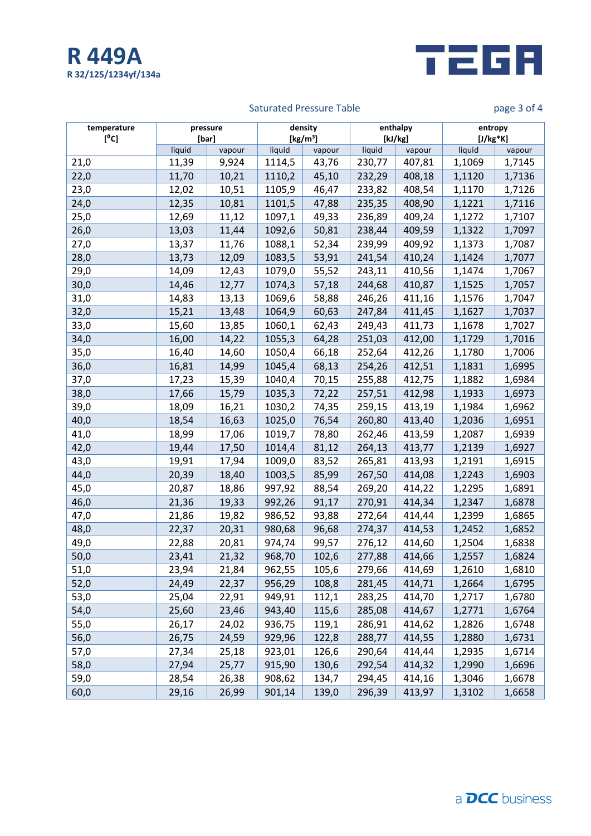



## Saturated Pressure Table **page 3 of 4**

| temperature<br>[°C] |        | pressure<br>[bar] |        | density<br>[kg/m <sup>3</sup> ] | enthalpy<br>[kJ/kg] |        | entropy<br>$[J/kg*K]$ |        |
|---------------------|--------|-------------------|--------|---------------------------------|---------------------|--------|-----------------------|--------|
|                     | liquid | vapour            | liquid | vapour                          | liquid              | vapour | liquid                | vapour |
| 21,0                | 11,39  | 9,924             | 1114,5 | 43,76                           | 230,77              | 407,81 | 1,1069                | 1,7145 |
| 22,0                | 11,70  | 10,21             | 1110,2 | 45,10                           | 232,29              | 408,18 | 1,1120                | 1,7136 |
| 23,0                | 12,02  | 10,51             | 1105,9 | 46,47                           | 233,82              | 408,54 | 1,1170                | 1,7126 |
| 24,0                | 12,35  | 10,81             | 1101,5 | 47,88                           | 235,35              | 408,90 | 1,1221                | 1,7116 |
| 25,0                | 12,69  | 11,12             | 1097,1 | 49,33                           | 236,89              | 409,24 | 1,1272                | 1,7107 |
| 26,0                | 13,03  | 11,44             | 1092,6 | 50,81                           | 238,44              | 409,59 | 1,1322                | 1,7097 |
| 27,0                | 13,37  | 11,76             | 1088,1 | 52,34                           | 239,99              | 409,92 | 1,1373                | 1,7087 |
| 28,0                | 13,73  | 12,09             | 1083,5 | 53,91                           | 241,54              | 410,24 | 1,1424                | 1,7077 |
| 29,0                | 14,09  | 12,43             | 1079,0 | 55,52                           | 243,11              | 410,56 | 1,1474                | 1,7067 |
| 30,0                | 14,46  | 12,77             | 1074,3 | 57,18                           | 244,68              | 410,87 | 1,1525                | 1,7057 |
| 31,0                | 14,83  | 13,13             | 1069,6 | 58,88                           | 246,26              | 411,16 | 1,1576                | 1,7047 |
| 32,0                | 15,21  | 13,48             | 1064,9 | 60,63                           | 247,84              | 411,45 | 1,1627                | 1,7037 |
| 33,0                | 15,60  | 13,85             | 1060,1 | 62,43                           | 249,43              | 411,73 | 1,1678                | 1,7027 |
| 34,0                | 16,00  | 14,22             | 1055,3 | 64,28                           | 251,03              | 412,00 | 1,1729                | 1,7016 |
| 35,0                | 16,40  | 14,60             | 1050,4 | 66,18                           | 252,64              | 412,26 | 1,1780                | 1,7006 |
| 36,0                | 16,81  | 14,99             | 1045,4 | 68,13                           | 254,26              | 412,51 | 1,1831                | 1,6995 |
| 37,0                | 17,23  | 15,39             | 1040,4 | 70,15                           | 255,88              | 412,75 | 1,1882                | 1,6984 |
| 38,0                | 17,66  | 15,79             | 1035,3 | 72,22                           | 257,51              | 412,98 | 1,1933                | 1,6973 |
| 39,0                | 18,09  | 16,21             | 1030,2 | 74,35                           | 259,15              | 413,19 | 1,1984                | 1,6962 |
| 40,0                | 18,54  | 16,63             | 1025,0 | 76,54                           | 260,80              | 413,40 | 1,2036                | 1,6951 |
| 41,0                | 18,99  | 17,06             | 1019,7 | 78,80                           | 262,46              | 413,59 | 1,2087                | 1,6939 |
| 42,0                | 19,44  | 17,50             | 1014,4 | 81,12                           | 264,13              | 413,77 | 1,2139                | 1,6927 |
| 43,0                | 19,91  | 17,94             | 1009,0 | 83,52                           | 265,81              | 413,93 | 1,2191                | 1,6915 |
| 44,0                | 20,39  | 18,40             | 1003,5 | 85,99                           | 267,50              | 414,08 | 1,2243                | 1,6903 |
| 45,0                | 20,87  | 18,86             | 997,92 | 88,54                           | 269,20              | 414,22 | 1,2295                | 1,6891 |
| 46,0                | 21,36  | 19,33             | 992,26 | 91,17                           | 270,91              | 414,34 | 1,2347                | 1,6878 |
| 47,0                | 21,86  | 19,82             | 986,52 | 93,88                           | 272,64              | 414,44 | 1,2399                | 1,6865 |
| 48,0                | 22,37  | 20,31             | 980,68 | 96,68                           | 274,37              | 414,53 | 1,2452                | 1,6852 |
| 49,0                | 22,88  | 20,81             | 974,74 | 99,57                           | 276,12              | 414,60 | 1,2504                | 1,6838 |
| 50,0                | 23,41  | 21,32             | 968,70 | 102,6                           | 277,88              | 414,66 | 1,2557                | 1,6824 |
| 51,0                | 23,94  | 21,84             | 962,55 | 105,6                           | 279,66              | 414,69 | 1,2610                | 1,6810 |
| 52,0                | 24,49  | 22,37             | 956,29 | 108,8                           | 281,45              | 414,71 | 1,2664                | 1,6795 |
| 53,0                | 25,04  | 22,91             | 949,91 | 112,1                           | 283,25              | 414,70 | 1,2717                | 1,6780 |
| 54,0                | 25,60  | 23,46             | 943,40 | 115,6                           | 285,08              | 414,67 | 1,2771                | 1,6764 |
| 55,0                | 26,17  | 24,02             | 936,75 | 119,1                           | 286,91              | 414,62 | 1,2826                | 1,6748 |
| 56,0                | 26,75  | 24,59             | 929,96 | 122,8                           | 288,77              | 414,55 | 1,2880                | 1,6731 |
| 57,0                | 27,34  | 25,18             | 923,01 | 126,6                           | 290,64              | 414,44 | 1,2935                | 1,6714 |
| 58,0                | 27,94  | 25,77             | 915,90 | 130,6                           | 292,54              | 414,32 | 1,2990                | 1,6696 |
| 59,0                | 28,54  | 26,38             | 908,62 | 134,7                           | 294,45              | 414,16 | 1,3046                | 1,6678 |
| 60,0                | 29,16  | 26,99             | 901,14 | 139,0                           | 296,39              | 413,97 | 1,3102                | 1,6658 |